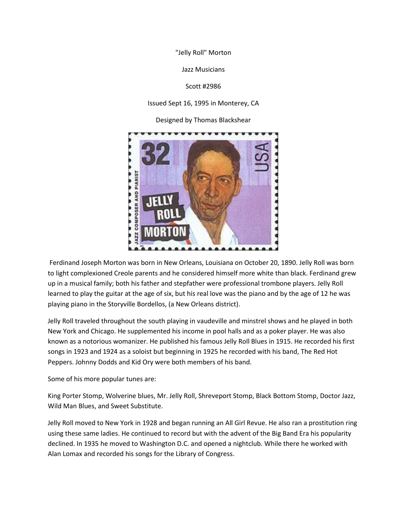"Jelly Roll" Morton

Jazz Musicians

Scott #2986

Issued Sept 16, 1995 in Monterey, CA

Designed by Thomas Blackshear



Ferdinand Joseph Morton was born in New Orleans, Louisiana on October 20, 1890. Jelly Roll was born to light complexioned Creole parents and he considered himself more white than black. Ferdinand grew up in a musical family; both his father and stepfather were professional trombone players. Jelly Roll learned to play the guitar at the age of six, but his real love was the piano and by the age of 12 he was playing piano in the Storyville Bordellos, (a New Orleans district).

Jelly Roll traveled throughout the south playing in vaudeville and minstrel shows and he played in both New York and Chicago. He supplemented his income in pool halls and as a poker player. He was also known as a notorious womanizer. He published his famous Jelly Roll Blues in 1915. He recorded his first songs in 1923 and 1924 as a soloist but beginning in 1925 he recorded with his band, The Red Hot Peppers. Johnny Dodds and Kid Ory were both members of his band.

Some of his more popular tunes are:

King Porter Stomp, Wolverine blues, Mr. Jelly Roll, Shreveport Stomp, Black Bottom Stomp, Doctor Jazz, Wild Man Blues, and Sweet Substitute.

Jelly Roll moved to New York in 1928 and began running an All Girl Revue. He also ran a prostitution ring using these same ladies. He continued to record but with the advent of the Big Band Era his popularity declined. In 1935 he moved to Washington D.C. and opened a nightclub. While there he worked with Alan Lomax and recorded his songs for the Library of Congress.